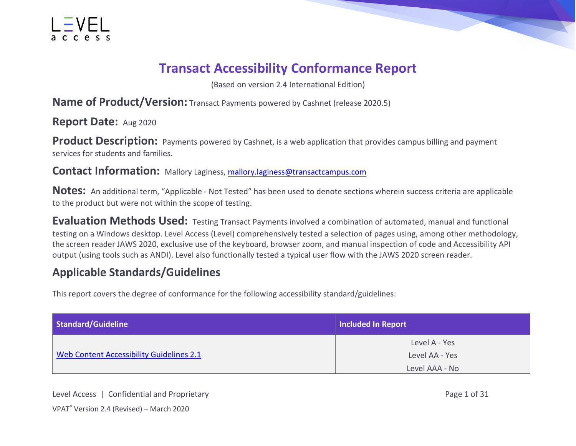

#### **Transact Accessibility Conformance Report**

(Based on version 2.4 International Edition)

**Name of Product/Version:** Transact Payments powered by Cashnet (release 2020.5)

**Report Date:** Aug 2020

**Product Description:** Payments powered by Cashnet, is a web application that provides campus billing and payment services for students and families.

**Contact Information:** Mallory Laginess, [mallory.laginess@transactcampus.com](mailto:mallory.laginess@transactcampus.com)

**Notes:** An additional term, "Applicable - Not Tested" has been used to denote sections wherein success criteria are applicable to the product but were not within the scope of testing.

**Evaluation Methods Used:** Testing Transact Payments involved a combination of automated, manual and functional testing on a Windows desktop. Level Access (Level) comprehensively tested a selection of pages using, among other methodology, the screen reader JAWS 2020, exclusive use of the keyboard, browser zoom, and manual inspection of code and Accessibility API output (using tools such as ANDI). Level also functionally tested a typical user flow with the JAWS 2020 screen reader.

#### **Applicable Standards/Guidelines**

This report covers the degree of conformance for the following accessibility standard/guidelines:

| Standard/Guideline                       | <b>Included In Report</b> |  |
|------------------------------------------|---------------------------|--|
|                                          | Level A - Yes             |  |
| Web Content Accessibility Guidelines 2.1 | Level AA - Yes            |  |
|                                          | Level AAA - No            |  |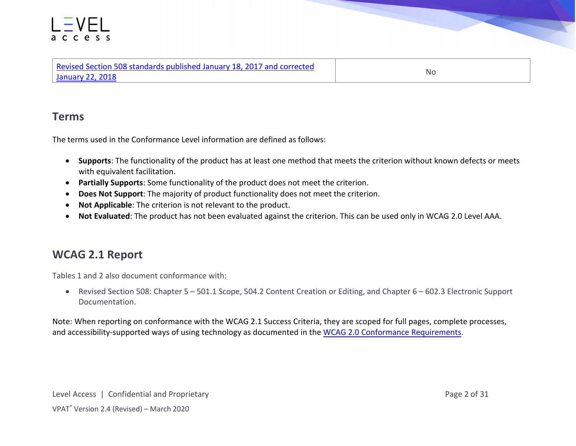#### access

| Revised Section 508 standards published January 18, 2017 and corrected |    |
|------------------------------------------------------------------------|----|
| January 22, 2018                                                       | Nc |

#### **Terms**

The terms used in the Conformance Level information are defined as follows:

- **Supports**: The functionality of the product has at least one method that meets the criterion without known defects or meets with equivalent facilitation.
- **Partially Supports**: Some functionality of the product does not meet the criterion.
- **Does Not Support**: The majority of product functionality does not meet the criterion.
- **Not Applicable**: The criterion is not relevant to the product.
- **Not Evaluated**: The product has not been evaluated against the criterion. This can be used only in WCAG 2.0 Level AAA.

#### **WCAG 2.1 Report**

Tables 1 and 2 also document conformance with:

• Revised Section 508: Chapter 5 – 501.1 Scope, 504.2 Content Creation or Editing, and Chapter 6 – 602.3 Electronic Support Documentation.

Note: When reporting on conformance with the WCAG 2.1 Success Criteria, they are scoped for full pages, complete processes, and accessibility-supported ways of using technology as documented in the [WCAG 2.0 Conformance Requirements.](https://www.w3.org/TR/WCAG20/#conformance-reqs)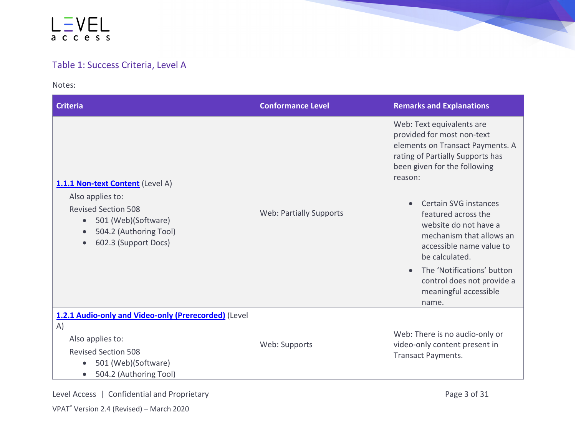#### LEVEL access

#### Table 1: Success Criteria, Level A

Notes:

| <b>Criteria</b>                                                                                                                                                                                    | <b>Conformance Level</b>       | <b>Remarks and Explanations</b>                                                                                                                                                                                                                                                                                                                                                                                             |
|----------------------------------------------------------------------------------------------------------------------------------------------------------------------------------------------------|--------------------------------|-----------------------------------------------------------------------------------------------------------------------------------------------------------------------------------------------------------------------------------------------------------------------------------------------------------------------------------------------------------------------------------------------------------------------------|
| 1.1.1 Non-text Content (Level A)<br>Also applies to:<br><b>Revised Section 508</b><br>501 (Web)(Software)<br>$\bullet$<br>504.2 (Authoring Tool)<br>$\bullet$<br>602.3 (Support Docs)<br>$\bullet$ | <b>Web: Partially Supports</b> | Web: Text equivalents are<br>provided for most non-text<br>elements on Transact Payments. A<br>rating of Partially Supports has<br>been given for the following<br>reason:<br>Certain SVG instances<br>featured across the<br>website do not have a<br>mechanism that allows an<br>accessible name value to<br>be calculated.<br>The 'Notifications' button<br>control does not provide a<br>meaningful accessible<br>name. |
| 1.2.1 Audio-only and Video-only (Prerecorded) (Level<br>A)<br>Also applies to:<br><b>Revised Section 508</b><br>501 (Web)(Software)<br>$\bullet$<br>504.2 (Authoring Tool)<br>$\bullet$            | Web: Supports                  | Web: There is no audio-only or<br>video-only content present in<br><b>Transact Payments.</b>                                                                                                                                                                                                                                                                                                                                |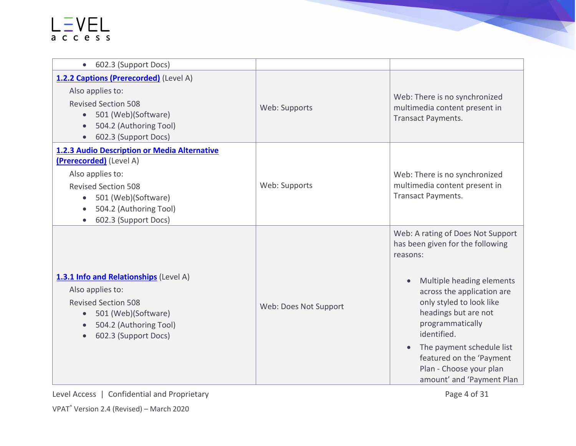| 602.3 (Support Docs)<br>$\bullet$                                                                                                                                                                               |                       |                                                                                                                                                                                                                                                                                                                                                                                |
|-----------------------------------------------------------------------------------------------------------------------------------------------------------------------------------------------------------------|-----------------------|--------------------------------------------------------------------------------------------------------------------------------------------------------------------------------------------------------------------------------------------------------------------------------------------------------------------------------------------------------------------------------|
| 1.2.2 Captions (Prerecorded) (Level A)<br>Also applies to:<br><b>Revised Section 508</b><br>• 501 (Web)(Software)<br>504.2 (Authoring Tool)<br>602.3 (Support Docs)                                             | Web: Supports         | Web: There is no synchronized<br>multimedia content present in<br>Transact Payments.                                                                                                                                                                                                                                                                                           |
| 1.2.3 Audio Description or Media Alternative<br>(Prerecorded) (Level A)<br>Also applies to:<br><b>Revised Section 508</b><br>501 (Web)(Software)<br>$\bullet$<br>504.2 (Authoring Tool)<br>602.3 (Support Docs) | Web: Supports         | Web: There is no synchronized<br>multimedia content present in<br><b>Transact Payments.</b>                                                                                                                                                                                                                                                                                    |
| 1.3.1 Info and Relationships (Level A)<br>Also applies to:<br><b>Revised Section 508</b><br>501 (Web)(Software)<br>504.2 (Authoring Tool)<br>602.3 (Support Docs)                                               | Web: Does Not Support | Web: A rating of Does Not Support<br>has been given for the following<br>reasons:<br>Multiple heading elements<br>$\bullet$<br>across the application are<br>only styled to look like<br>headings but are not<br>programmatically<br>identified.<br>The payment schedule list<br>$\bullet$<br>featured on the 'Payment<br>Plan - Choose your plan<br>amount' and 'Payment Plan |

Level Access | Confidential and Proprietary Page 4 of 31

VPAT® Version 2.4 (Revised) – March 2020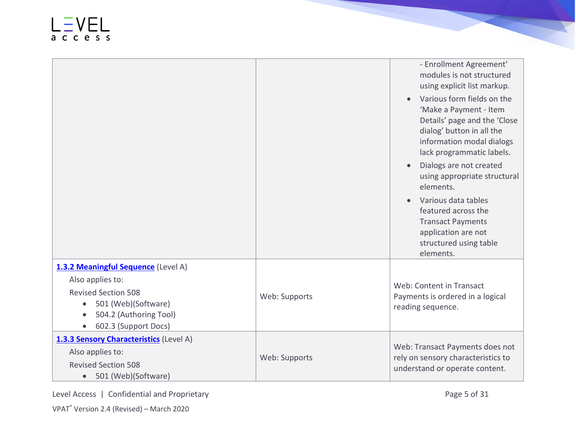|                                                                                                                                                                             |               | - Enrollment Agreement'<br>modules is not structured<br>using explicit list markup.                                                                                         |
|-----------------------------------------------------------------------------------------------------------------------------------------------------------------------------|---------------|-----------------------------------------------------------------------------------------------------------------------------------------------------------------------------|
|                                                                                                                                                                             |               | Various form fields on the<br>'Make a Payment - Item<br>Details' page and the 'Close<br>dialog' button in all the<br>information modal dialogs<br>lack programmatic labels. |
|                                                                                                                                                                             |               | Dialogs are not created<br>using appropriate structural<br>elements.                                                                                                        |
|                                                                                                                                                                             |               | Various data tables<br>featured across the<br><b>Transact Payments</b><br>application are not<br>structured using table<br>elements.                                        |
| 1.3.2 Meaningful Sequence (Level A)<br>Also applies to:<br><b>Revised Section 508</b><br>501 (Web)(Software)<br>$\bullet$<br>504.2 (Authoring Tool)<br>602.3 (Support Docs) | Web: Supports | Web: Content in Transact<br>Payments is ordered in a logical<br>reading sequence.                                                                                           |
| 1.3.3 Sensory Characteristics (Level A)<br>Also applies to:<br><b>Revised Section 508</b><br>501 (Web)(Software)<br>$\bullet$                                               | Web: Supports | Web: Transact Payments does not<br>rely on sensory characteristics to<br>understand or operate content.                                                                     |

Level Access | Confidential and Proprietary Page 5 of 31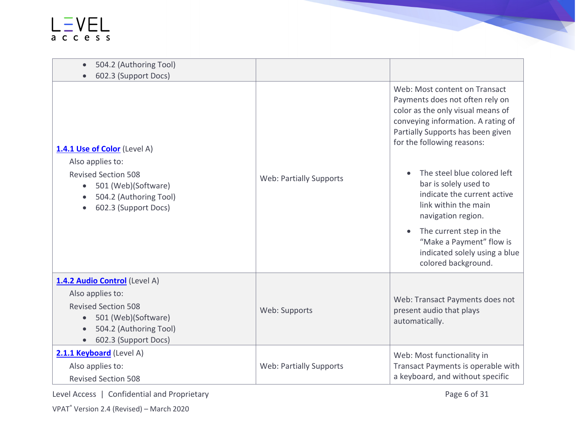| 504.2 (Authoring Tool)<br>602.3 (Support Docs)                                                                                                                        |                                |                                                                                                                                                                                                                                                                                                                                                                                                                                                                                 |
|-----------------------------------------------------------------------------------------------------------------------------------------------------------------------|--------------------------------|---------------------------------------------------------------------------------------------------------------------------------------------------------------------------------------------------------------------------------------------------------------------------------------------------------------------------------------------------------------------------------------------------------------------------------------------------------------------------------|
| 1.4.1 Use of Color (Level A)<br>Also applies to:<br><b>Revised Section 508</b><br>501 (Web)(Software)<br>504.2 (Authoring Tool)<br>602.3 (Support Docs)               | <b>Web: Partially Supports</b> | Web: Most content on Transact<br>Payments does not often rely on<br>color as the only visual means of<br>conveying information. A rating of<br>Partially Supports has been given<br>for the following reasons:<br>The steel blue colored left<br>bar is solely used to<br>indicate the current active<br>link within the main<br>navigation region.<br>The current step in the<br>$\bullet$<br>"Make a Payment" flow is<br>indicated solely using a blue<br>colored background. |
| 1.4.2 Audio Control (Level A)<br>Also applies to:<br><b>Revised Section 508</b><br>501 (Web)(Software)<br>504.2 (Authoring Tool)<br>602.3 (Support Docs)<br>$\bullet$ | Web: Supports                  | Web: Transact Payments does not<br>present audio that plays<br>automatically.                                                                                                                                                                                                                                                                                                                                                                                                   |
| 2.1.1 Keyboard (Level A)<br>Also applies to:<br><b>Revised Section 508</b>                                                                                            | <b>Web: Partially Supports</b> | Web: Most functionality in<br>Transact Payments is operable with<br>a keyboard, and without specific                                                                                                                                                                                                                                                                                                                                                                            |

Level Access | Confidential and Proprietary Page 6 of 31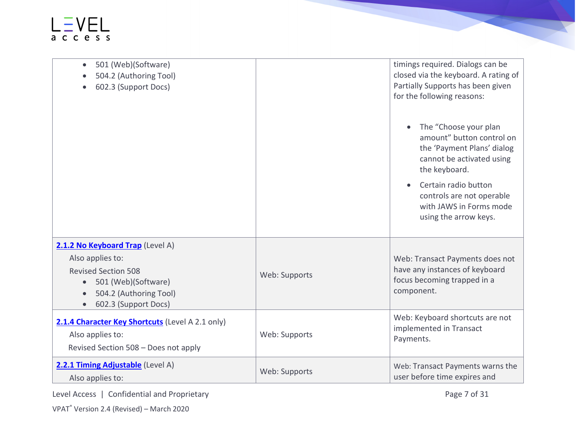| 501 (Web)(Software)<br>$\bullet$<br>504.2 (Authoring Tool)<br>602.3 (Support Docs)                                                                                       |               | timings required. Dialogs can be<br>closed via the keyboard. A rating of<br>Partially Supports has been given<br>for the following reasons:<br>The "Choose your plan<br>amount" button control on<br>the 'Payment Plans' dialog<br>cannot be activated using<br>the keyboard.<br>Certain radio button<br>controls are not operable<br>with JAWS in Forms mode<br>using the arrow keys. |
|--------------------------------------------------------------------------------------------------------------------------------------------------------------------------|---------------|----------------------------------------------------------------------------------------------------------------------------------------------------------------------------------------------------------------------------------------------------------------------------------------------------------------------------------------------------------------------------------------|
| 2.1.2 No Keyboard Trap (Level A)<br>Also applies to:<br><b>Revised Section 508</b><br>501 (Web)(Software)<br>$\bullet$<br>504.2 (Authoring Tool)<br>602.3 (Support Docs) | Web: Supports | Web: Transact Payments does not<br>have any instances of keyboard<br>focus becoming trapped in a<br>component.                                                                                                                                                                                                                                                                         |
| 2.1.4 Character Key Shortcuts (Level A 2.1 only)<br>Also applies to:<br>Revised Section 508 - Does not apply                                                             | Web: Supports | Web: Keyboard shortcuts are not<br>implemented in Transact<br>Payments.                                                                                                                                                                                                                                                                                                                |
| 2.2.1 Timing Adjustable (Level A)<br>Also applies to:                                                                                                                    | Web: Supports | Web: Transact Payments warns the<br>user before time expires and                                                                                                                                                                                                                                                                                                                       |

Level Access | Confidential and Proprietary Page 7 of 31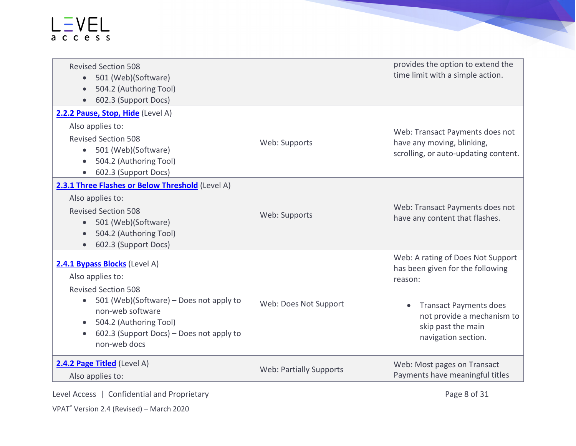| <b>Revised Section 508</b><br>501 (Web)(Software)<br>$\bullet$<br>504.2 (Authoring Tool)<br>602.3 (Support Docs)                                                                                                                     |                                | provides the option to extend the<br>time limit with a simple action.                                                                                                                        |
|--------------------------------------------------------------------------------------------------------------------------------------------------------------------------------------------------------------------------------------|--------------------------------|----------------------------------------------------------------------------------------------------------------------------------------------------------------------------------------------|
| 2.2.2 Pause, Stop, Hide (Level A)<br>Also applies to:<br><b>Revised Section 508</b><br>501 (Web)(Software)<br>504.2 (Authoring Tool)<br>602.3 (Support Docs)<br>$\bullet$                                                            | Web: Supports                  | Web: Transact Payments does not<br>have any moving, blinking,<br>scrolling, or auto-updating content.                                                                                        |
| 2.3.1 Three Flashes or Below Threshold (Level A)<br>Also applies to:<br><b>Revised Section 508</b><br>501 (Web)(Software)<br>$\bullet$<br>504.2 (Authoring Tool)<br>602.3 (Support Docs)                                             | Web: Supports                  | Web: Transact Payments does not<br>have any content that flashes.                                                                                                                            |
| 2.4.1 Bypass Blocks (Level A)<br>Also applies to:<br><b>Revised Section 508</b><br>501 (Web)(Software) – Does not apply to<br>non-web software<br>504.2 (Authoring Tool)<br>602.3 (Support Docs) - Does not apply to<br>non-web docs | Web: Does Not Support          | Web: A rating of Does Not Support<br>has been given for the following<br>reason:<br><b>Transact Payments does</b><br>not provide a mechanism to<br>skip past the main<br>navigation section. |
| 2.4.2 Page Titled (Level A)<br>Also applies to:                                                                                                                                                                                      | <b>Web: Partially Supports</b> | Web: Most pages on Transact<br>Payments have meaningful titles                                                                                                                               |

Level Access | Confidential and Proprietary Page 8 of 31

VPAT® Version 2.4 (Revised) – March 2020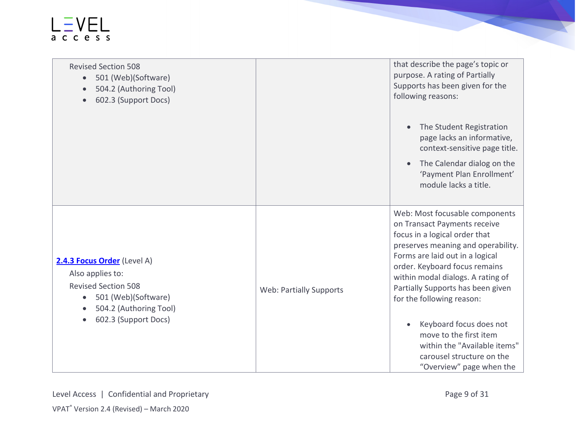| <b>Revised Section 508</b><br>501 (Web)(Software)<br>$\bullet$<br>504.2 (Authoring Tool)<br>602.3 (Support Docs)                            |                                | that describe the page's topic or<br>purpose. A rating of Partially<br>Supports has been given for the<br>following reasons:                                                                                                                                                                                     |
|---------------------------------------------------------------------------------------------------------------------------------------------|--------------------------------|------------------------------------------------------------------------------------------------------------------------------------------------------------------------------------------------------------------------------------------------------------------------------------------------------------------|
|                                                                                                                                             |                                | The Student Registration<br>$\bullet$<br>page lacks an informative,<br>context-sensitive page title.                                                                                                                                                                                                             |
|                                                                                                                                             |                                | The Calendar dialog on the<br>'Payment Plan Enrollment'<br>module lacks a title.                                                                                                                                                                                                                                 |
| 2.4.3 Focus Order (Level A)<br>Also applies to:<br><b>Revised Section 508</b><br>501 (Web)(Software)<br>$\bullet$<br>504.2 (Authoring Tool) | <b>Web: Partially Supports</b> | Web: Most focusable components<br>on Transact Payments receive<br>focus in a logical order that<br>preserves meaning and operability.<br>Forms are laid out in a logical<br>order. Keyboard focus remains<br>within modal dialogs. A rating of<br>Partially Supports has been given<br>for the following reason: |
| 602.3 (Support Docs)                                                                                                                        |                                | Keyboard focus does not<br>move to the first item<br>within the "Available items"<br>carousel structure on the<br>"Overview" page when the                                                                                                                                                                       |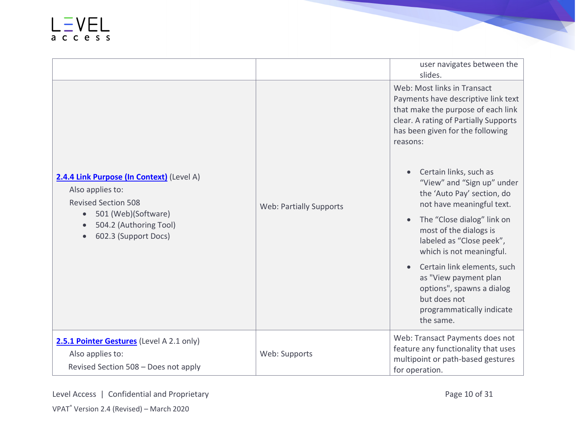|                                                                                                                                                                                   |                                | user navigates between the<br>slides.                                                                                                                                                                                                                                                                                                                                                                                                                                                                                     |
|-----------------------------------------------------------------------------------------------------------------------------------------------------------------------------------|--------------------------------|---------------------------------------------------------------------------------------------------------------------------------------------------------------------------------------------------------------------------------------------------------------------------------------------------------------------------------------------------------------------------------------------------------------------------------------------------------------------------------------------------------------------------|
| 2.4.4 Link Purpose (In Context) (Level A)<br>Also applies to:<br><b>Revised Section 508</b><br>501 (Web)(Software)<br>$\bullet$<br>504.2 (Authoring Tool)<br>602.3 (Support Docs) | <b>Web: Partially Supports</b> | Web: Most links in Transact<br>Payments have descriptive link text<br>that make the purpose of each link<br>clear. A rating of Partially Supports<br>has been given for the following<br>reasons:<br>Certain links, such as<br>"View" and "Sign up" under<br>the 'Auto Pay' section, do<br>not have meaningful text.<br>The "Close dialog" link on<br>most of the dialogs is<br>labeled as "Close peek",<br>which is not meaningful.<br>Certain link elements, such<br>as "View payment plan<br>options", spawns a dialog |
|                                                                                                                                                                                   |                                | but does not<br>programmatically indicate<br>the same.                                                                                                                                                                                                                                                                                                                                                                                                                                                                    |
| 2.5.1 Pointer Gestures (Level A 2.1 only)<br>Also applies to:<br>Revised Section 508 - Does not apply                                                                             | Web: Supports                  | Web: Transact Payments does not<br>feature any functionality that uses<br>multipoint or path-based gestures<br>for operation.                                                                                                                                                                                                                                                                                                                                                                                             |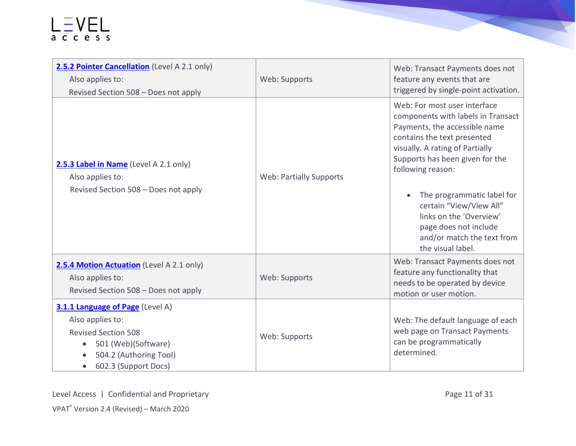| 2.5.2 Pointer Cancellation (Level A 2.1 only)<br>Also applies to:                                                                                                        | Web: Supports                  | Web: Transact Payments does not<br>feature any events that are                                                                                                                                                                                                                                                                                                                                |
|--------------------------------------------------------------------------------------------------------------------------------------------------------------------------|--------------------------------|-----------------------------------------------------------------------------------------------------------------------------------------------------------------------------------------------------------------------------------------------------------------------------------------------------------------------------------------------------------------------------------------------|
| Revised Section 508 - Does not apply                                                                                                                                     |                                | triggered by single-point activation.                                                                                                                                                                                                                                                                                                                                                         |
| 2.5.3 Label in Name (Level A 2.1 only)<br>Also applies to:<br>Revised Section 508 - Does not apply                                                                       | <b>Web: Partially Supports</b> | Web: For most user interface<br>components with labels in Transact<br>Payments, the accessible name<br>contains the text presented<br>visually. A rating of Partially<br>Supports has been given for the<br>following reason:<br>The programmatic label for<br>certain "View/View All"<br>links on the 'Overview'<br>page does not include<br>and/or match the text from<br>the visual label. |
| 2.5.4 Motion Actuation (Level A 2.1 only)<br>Also applies to:<br>Revised Section 508 - Does not apply                                                                    | Web: Supports                  | Web: Transact Payments does not<br>feature any functionality that<br>needs to be operated by device<br>motion or user motion.                                                                                                                                                                                                                                                                 |
| 3.1.1 Language of Page (Level A)<br>Also applies to:<br><b>Revised Section 508</b><br>501 (Web)(Software)<br>504.2 (Authoring Tool)<br>602.3 (Support Docs)<br>$\bullet$ | Web: Supports                  | Web: The default language of each<br>web page on Transact Payments<br>can be programmatically<br>determined.                                                                                                                                                                                                                                                                                  |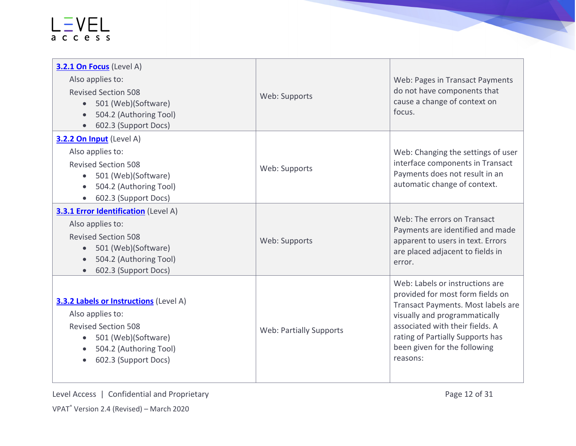| 3.2.1 On Focus (Level A)<br>Also applies to:<br><b>Revised Section 508</b><br>501 (Web)(Software)<br>$\bullet$<br>504.2 (Authoring Tool)<br>• 602.3 (Support Docs)                               | Web: Supports                  | Web: Pages in Transact Payments<br>do not have components that<br>cause a change of context on<br>focus.                                                                                                                                                      |
|--------------------------------------------------------------------------------------------------------------------------------------------------------------------------------------------------|--------------------------------|---------------------------------------------------------------------------------------------------------------------------------------------------------------------------------------------------------------------------------------------------------------|
| 3.2.2 On Input (Level A)<br>Also applies to:<br><b>Revised Section 508</b><br>• 501 (Web)(Software)<br>504.2 (Authoring Tool)<br>602.3 (Support Docs)                                            | Web: Supports                  | Web: Changing the settings of user<br>interface components in Transact<br>Payments does not result in an<br>automatic change of context.                                                                                                                      |
| <b>3.3.1 Error Identification</b> (Level A)<br>Also applies to:<br><b>Revised Section 508</b><br>501 (Web)(Software)<br>$\bullet$<br>504.2 (Authoring Tool)<br>602.3 (Support Docs)<br>$\bullet$ | Web: Supports                  | Web: The errors on Transact<br>Payments are identified and made<br>apparent to users in text. Errors<br>are placed adjacent to fields in<br>error.                                                                                                            |
| <b>3.3.2 Labels or Instructions</b> (Level A)<br>Also applies to:<br><b>Revised Section 508</b><br>501 (Web)(Software)<br>504.2 (Authoring Tool)<br>602.3 (Support Docs)<br>$\bullet$            | <b>Web: Partially Supports</b> | Web: Labels or instructions are<br>provided for most form fields on<br>Transact Payments. Most labels are<br>visually and programmatically<br>associated with their fields. A<br>rating of Partially Supports has<br>been given for the following<br>reasons: |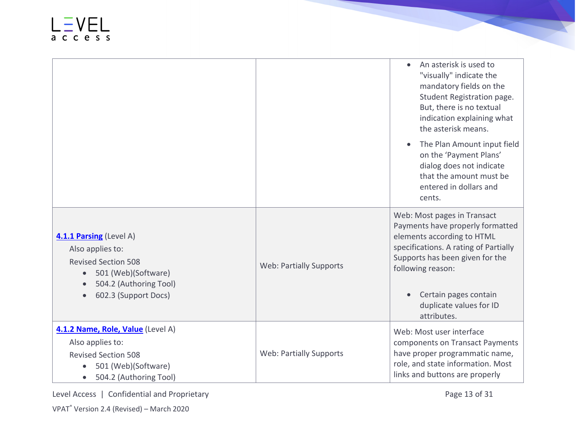|                                                                                                                                                                 |                                | An asterisk is used to<br>$\bullet$<br>"visually" indicate the<br>mandatory fields on the<br>Student Registration page.<br>But, there is no textual<br>indication explaining what<br>the asterisk means.                                                          |
|-----------------------------------------------------------------------------------------------------------------------------------------------------------------|--------------------------------|-------------------------------------------------------------------------------------------------------------------------------------------------------------------------------------------------------------------------------------------------------------------|
|                                                                                                                                                                 |                                | The Plan Amount input field<br>on the 'Payment Plans'<br>dialog does not indicate<br>that the amount must be<br>entered in dollars and<br>cents.                                                                                                                  |
| 4.1.1 Parsing (Level A)<br>Also applies to:<br><b>Revised Section 508</b><br>501 (Web)(Software)<br>$\bullet$<br>504.2 (Authoring Tool)<br>602.3 (Support Docs) | <b>Web: Partially Supports</b> | Web: Most pages in Transact<br>Payments have properly formatted<br>elements according to HTML<br>specifications. A rating of Partially<br>Supports has been given for the<br>following reason:<br>Certain pages contain<br>duplicate values for ID<br>attributes. |
| 4.1.2 Name, Role, Value (Level A)<br>Also applies to:<br><b>Revised Section 508</b><br>501 (Web)(Software)<br>504.2 (Authoring Tool)                            | <b>Web: Partially Supports</b> | Web: Most user interface<br>components on Transact Payments<br>have proper programmatic name,<br>role, and state information. Most<br>links and buttons are properly                                                                                              |

Level Access | Confidential and Proprietary **Page 13 of 31** Page 13 of 31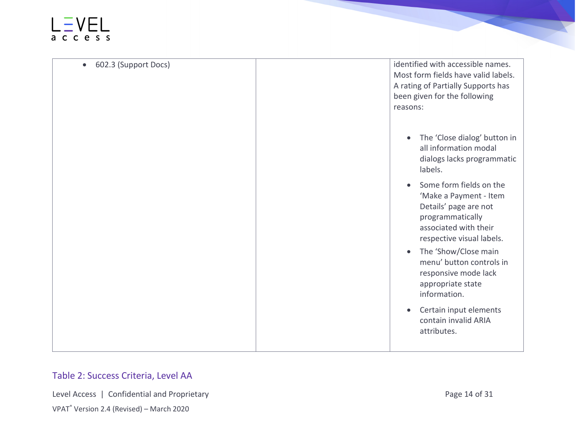#### $L = VEL$

| 602.3 (Support Docs)<br>$\bullet$ | identified with accessible names.<br>Most form fields have valid labels.<br>A rating of Partially Supports has<br>been given for the following<br>reasons:        |
|-----------------------------------|-------------------------------------------------------------------------------------------------------------------------------------------------------------------|
|                                   | The 'Close dialog' button in<br>all information modal<br>dialogs lacks programmatic<br>labels.                                                                    |
|                                   | Some form fields on the<br>$\bullet$<br>'Make a Payment - Item<br>Details' page are not<br>programmatically<br>associated with their<br>respective visual labels. |
|                                   | The 'Show/Close main<br>$\bullet$<br>menu' button controls in<br>responsive mode lack<br>appropriate state<br>information.                                        |
|                                   | Certain input elements<br>$\bullet$<br>contain invalid ARIA<br>attributes.                                                                                        |

#### Table 2: Success Criteria, Level AA

Level Access | Confidential and Proprietary **Page 14 of 31** Page 14 of 31

VPAT® Version 2.4 (Revised) – March 2020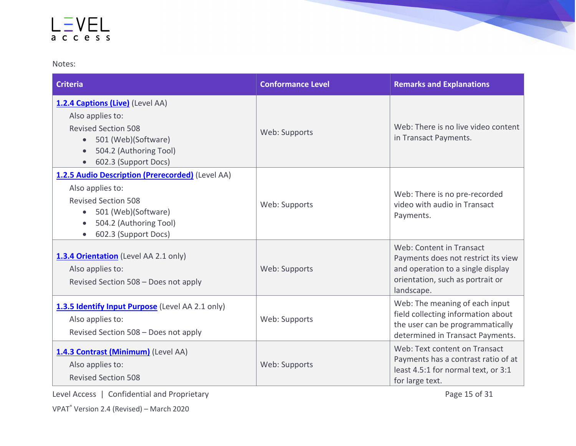Notes:

| Criteria                                                                                                                                                                                              | <b>Conformance Level</b> | <b>Remarks and Explanations</b>                                                                                                                        |
|-------------------------------------------------------------------------------------------------------------------------------------------------------------------------------------------------------|--------------------------|--------------------------------------------------------------------------------------------------------------------------------------------------------|
| 1.2.4 Captions (Live) (Level AA)<br>Also applies to:<br><b>Revised Section 508</b><br>501 (Web)(Software)<br>$\bullet$<br>504.2 (Authoring Tool)<br>602.3 (Support Docs)<br>$\bullet$                 | Web: Supports            | Web: There is no live video content<br>in Transact Payments.                                                                                           |
| 1.2.5 Audio Description (Prerecorded) (Level AA)<br>Also applies to:<br><b>Revised Section 508</b><br>501 (Web)(Software)<br>$\bullet$<br>504.2 (Authoring Tool)<br>$\bullet$<br>602.3 (Support Docs) | Web: Supports            | Web: There is no pre-recorded<br>video with audio in Transact<br>Payments.                                                                             |
| 1.3.4 Orientation (Level AA 2.1 only)<br>Also applies to:<br>Revised Section 508 - Does not apply                                                                                                     | Web: Supports            | Web: Content in Transact<br>Payments does not restrict its view<br>and operation to a single display<br>orientation, such as portrait or<br>landscape. |
| 1.3.5 Identify Input Purpose (Level AA 2.1 only)<br>Also applies to:<br>Revised Section 508 - Does not apply                                                                                          | Web: Supports            | Web: The meaning of each input<br>field collecting information about<br>the user can be programmatically<br>determined in Transact Payments.           |
| 1.4.3 Contrast (Minimum) (Level AA)<br>Also applies to:<br><b>Revised Section 508</b>                                                                                                                 | Web: Supports            | Web: Text content on Transact<br>Payments has a contrast ratio of at<br>least 4.5:1 for normal text, or 3:1<br>for large text.                         |

Level Access | Confidential and Proprietary **Page 15 of 31** Page 15 of 31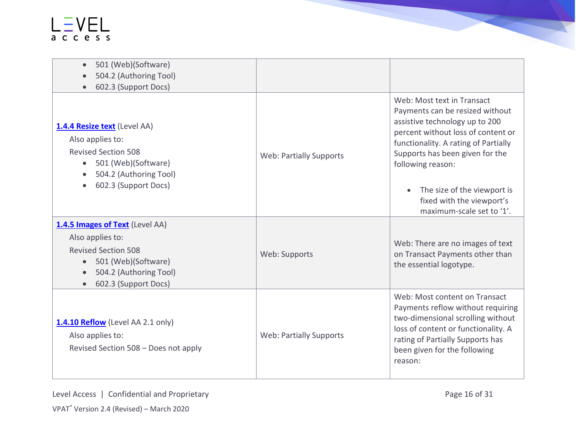| 501 (Web)(Software)<br>$\bullet$<br>504.2 (Authoring Tool)<br>602.3 (Support Docs)<br>$\bullet$                                                                         |                                |                                                                                                                                                                                                                                                                                                                                             |
|-------------------------------------------------------------------------------------------------------------------------------------------------------------------------|--------------------------------|---------------------------------------------------------------------------------------------------------------------------------------------------------------------------------------------------------------------------------------------------------------------------------------------------------------------------------------------|
| 1.4.4 Resize text (Level AA)<br>Also applies to:<br><b>Revised Section 508</b><br>501 (Web)(Software)<br>504.2 (Authoring Tool)<br>602.3 (Support Docs)                 | <b>Web: Partially Supports</b> | Web: Most text in Transact<br>Payments can be resized without<br>assistive technology up to 200<br>percent without loss of content or<br>functionality. A rating of Partially<br>Supports has been given for the<br>following reason:<br>The size of the viewport is<br>$\bullet$<br>fixed with the viewport's<br>maximum-scale set to '1'. |
| 1.4.5 Images of Text (Level AA)<br>Also applies to:<br><b>Revised Section 508</b><br>501 (Web)(Software)<br>504.2 (Authoring Tool)<br>602.3 (Support Docs)<br>$\bullet$ | Web: Supports                  | Web: There are no images of text<br>on Transact Payments other than<br>the essential logotype.                                                                                                                                                                                                                                              |
| 1.4.10 Reflow (Level AA 2.1 only)<br>Also applies to:<br>Revised Section 508 - Does not apply                                                                           | <b>Web: Partially Supports</b> | Web: Most content on Transact<br>Payments reflow without requiring<br>two-dimensional scrolling without<br>loss of content or functionality. A<br>rating of Partially Supports has<br>been given for the following<br>reason:                                                                                                               |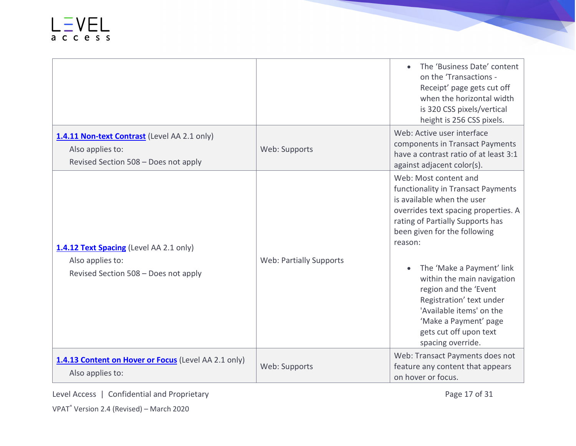|                                                                                                          |                                | The 'Business Date' content<br>on the 'Transactions -<br>Receipt' page gets cut off<br>when the horizontal width<br>is 320 CSS pixels/vertical<br>height is 256 CSS pixels.                                                                                                                                                                                                                                                                       |
|----------------------------------------------------------------------------------------------------------|--------------------------------|---------------------------------------------------------------------------------------------------------------------------------------------------------------------------------------------------------------------------------------------------------------------------------------------------------------------------------------------------------------------------------------------------------------------------------------------------|
| 1.4.11 Non-text Contrast (Level AA 2.1 only)<br>Also applies to:<br>Revised Section 508 - Does not apply | Web: Supports                  | Web: Active user interface<br>components in Transact Payments<br>have a contrast ratio of at least 3:1<br>against adjacent color(s).                                                                                                                                                                                                                                                                                                              |
| 1.4.12 Text Spacing (Level AA 2.1 only)<br>Also applies to:<br>Revised Section 508 - Does not apply      | <b>Web: Partially Supports</b> | Web: Most content and<br>functionality in Transact Payments<br>is available when the user<br>overrides text spacing properties. A<br>rating of Partially Supports has<br>been given for the following<br>reason:<br>The 'Make a Payment' link<br>$\bullet$<br>within the main navigation<br>region and the 'Event<br>Registration' text under<br>'Available items' on the<br>'Make a Payment' page<br>gets cut off upon text<br>spacing override. |
| 1.4.13 Content on Hover or Focus (Level AA 2.1 only)<br>Also applies to:                                 | Web: Supports                  | Web: Transact Payments does not<br>feature any content that appears<br>on hover or focus.                                                                                                                                                                                                                                                                                                                                                         |

Level Access | Confidential and Proprietary **Page 17 of 31** Page 17 of 31

**The Second Second**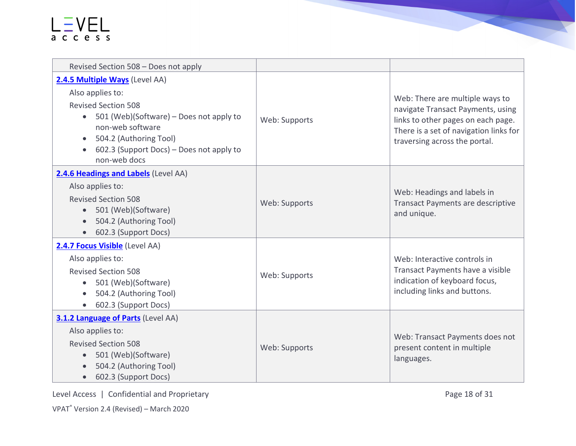| Revised Section 508 - Does not apply                                                                                                                                                                               |               |                                                                                                                                                                                       |
|--------------------------------------------------------------------------------------------------------------------------------------------------------------------------------------------------------------------|---------------|---------------------------------------------------------------------------------------------------------------------------------------------------------------------------------------|
| 2.4.5 Multiple Ways (Level AA)                                                                                                                                                                                     |               |                                                                                                                                                                                       |
| Also applies to:<br><b>Revised Section 508</b><br>• 501 (Web)(Software) – Does not apply to<br>non-web software<br>504.2 (Authoring Tool)<br>$\bullet$<br>602.3 (Support Docs) – Does not apply to<br>non-web docs | Web: Supports | Web: There are multiple ways to<br>navigate Transact Payments, using<br>links to other pages on each page.<br>There is a set of navigation links for<br>traversing across the portal. |
| 2.4.6 Headings and Labels (Level AA)<br>Also applies to:<br><b>Revised Section 508</b><br>• 501 (Web)(Software)<br>504.2 (Authoring Tool)<br>602.3 (Support Docs)                                                  | Web: Supports | Web: Headings and labels in<br><b>Transact Payments are descriptive</b><br>and unique.                                                                                                |
| 2.4.7 Focus Visible (Level AA)<br>Also applies to:<br><b>Revised Section 508</b><br>501 (Web)(Software)<br>$\bullet$<br>504.2 (Authoring Tool)<br>602.3 (Support Docs)<br>$\bullet$                                | Web: Supports | Web: Interactive controls in<br>Transact Payments have a visible<br>indication of keyboard focus,<br>including links and buttons.                                                     |
| <b>3.1.2 Language of Parts (Level AA)</b><br>Also applies to:<br><b>Revised Section 508</b><br>501 (Web)(Software)<br>504.2 (Authoring Tool)<br>602.3 (Support Docs)<br>$\bullet$                                  | Web: Supports | Web: Transact Payments does not<br>present content in multiple<br>languages.                                                                                                          |

Level Access | Confidential and Proprietary **Page 18 of 31**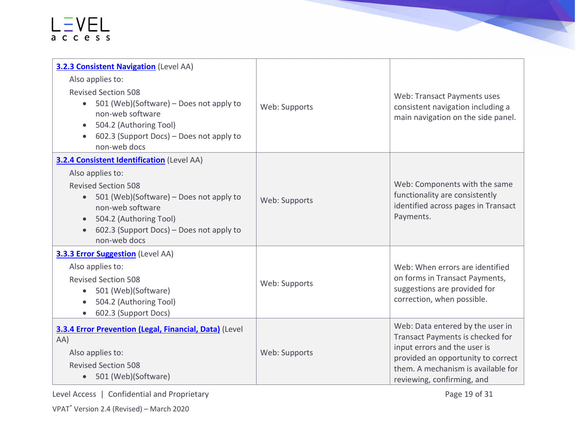| <b>3.2.3 Consistent Navigation</b> (Level AA)<br>Also applies to:<br><b>Revised Section 508</b><br>501 (Web)(Software) – Does not apply to<br>$\bullet$<br>non-web software<br>504.2 (Authoring Tool)<br>602.3 (Support Docs) – Does not apply to<br>non-web docs     | Web: Supports | Web: Transact Payments uses<br>consistent navigation including a<br>main navigation on the side panel.                                                                                                         |
|-----------------------------------------------------------------------------------------------------------------------------------------------------------------------------------------------------------------------------------------------------------------------|---------------|----------------------------------------------------------------------------------------------------------------------------------------------------------------------------------------------------------------|
| <b>3.2.4 Consistent Identification</b> (Level AA)<br>Also applies to:<br><b>Revised Section 508</b><br>501 (Web)(Software) – Does not apply to<br>$\bullet$<br>non-web software<br>504.2 (Authoring Tool)<br>602.3 (Support Docs) – Does not apply to<br>non-web docs | Web: Supports | Web: Components with the same<br>functionality are consistently<br>identified across pages in Transact<br>Payments.                                                                                            |
| <b>3.3.3 Error Suggestion</b> (Level AA)<br>Also applies to:<br><b>Revised Section 508</b><br>501 (Web)(Software)<br>$\bullet$<br>504.2 (Authoring Tool)<br>$\bullet$<br>602.3 (Support Docs)<br>$\bullet$                                                            | Web: Supports | Web: When errors are identified<br>on forms in Transact Payments,<br>suggestions are provided for<br>correction, when possible.                                                                                |
| 3.3.4 Error Prevention (Legal, Financial, Data) (Level<br>AA)<br>Also applies to:<br><b>Revised Section 508</b><br>• 501 (Web)(Software)                                                                                                                              | Web: Supports | Web: Data entered by the user in<br>Transact Payments is checked for<br>input errors and the user is<br>provided an opportunity to correct<br>them. A mechanism is available for<br>reviewing, confirming, and |

Level Access | Confidential and Proprietary **Page 19 of 31** Page 19 of 31